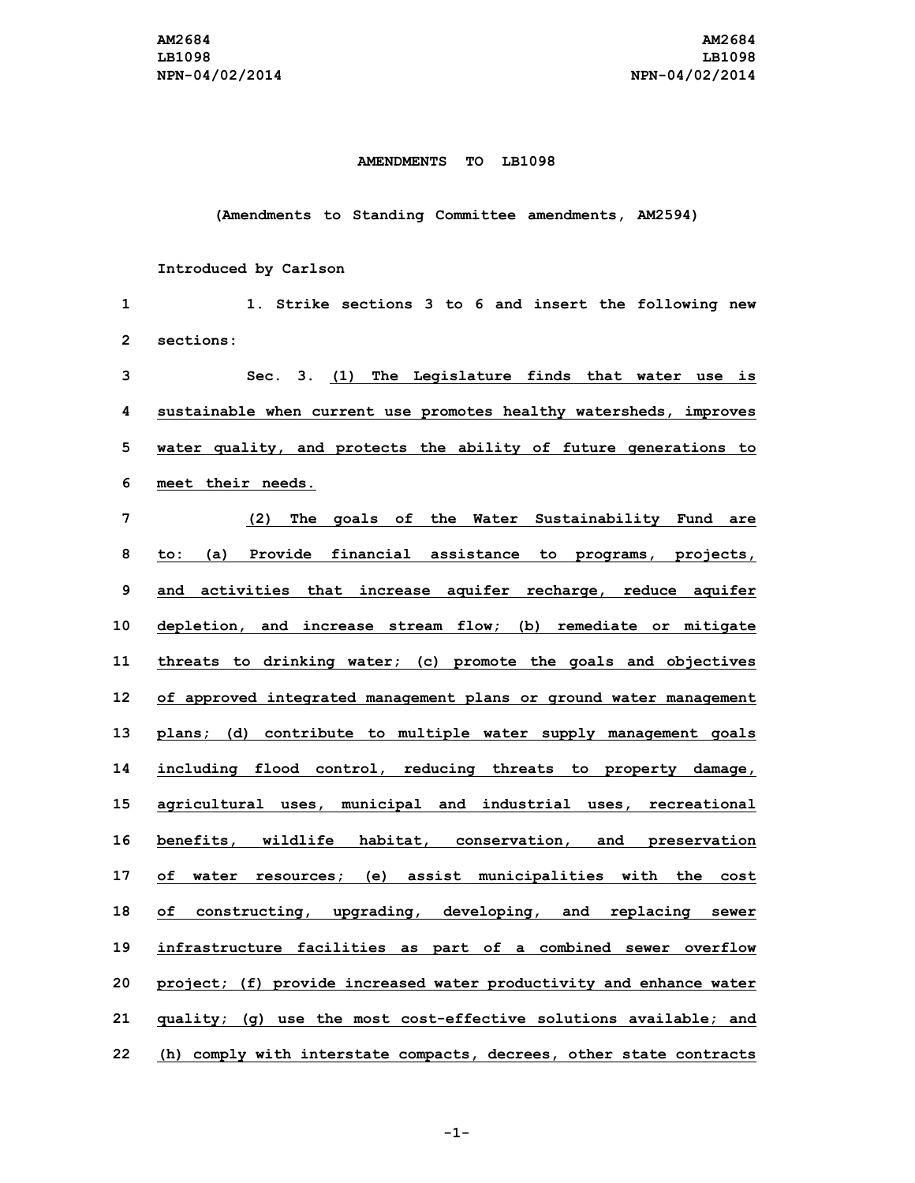## **AMENDMENTS TO LB1098**

## **(Amendments to Standing Committee amendments, AM2594)**

## **Introduced by Carlson**

| 1  | Strike sections 3 to 6 and insert the following new<br>1.           |
|----|---------------------------------------------------------------------|
| 2  | sections:                                                           |
| 3  | Sec. 3. (1) The Legislature finds that water use is                 |
| 4  | sustainable when current use promotes healthy watersheds, improves  |
| 5  | water quality, and protects the ability of future generations to    |
| 6  | meet their needs.                                                   |
| 7  | (2) The goals of the Water Sustainability Fund are                  |
| 8  | to: (a) Provide financial assistance to programs, projects,         |
| 9  | and activities that increase aquifer recharge, reduce aquifer       |
| 10 | depletion, and increase stream flow; (b) remediate or mitigate      |
| 11 | threats to drinking water; (c) promote the goals and objectives     |
| 12 | of approved integrated management plans or ground water management  |
| 13 | plans; (d) contribute to multiple water supply management goals     |
| 14 | including flood control, reducing threats to property damage,       |
| 15 | agricultural uses, municipal and industrial uses, recreational      |
| 16 | benefits, wildlife habitat, conservation, and preservation          |
| 17 | of water resources; (e) assist municipalities with the cost         |
| 18 | constructing, upgrading, developing, and replacing sewer<br>of      |
| 19 | infrastructure facilities as part of a combined sewer overflow      |
| 20 | project; (f) provide increased water productivity and enhance water |
| 21 | quality; (g) use the most cost-effective solutions available; and   |
| 22 | (h) comply with interstate compacts, decrees, other state contracts |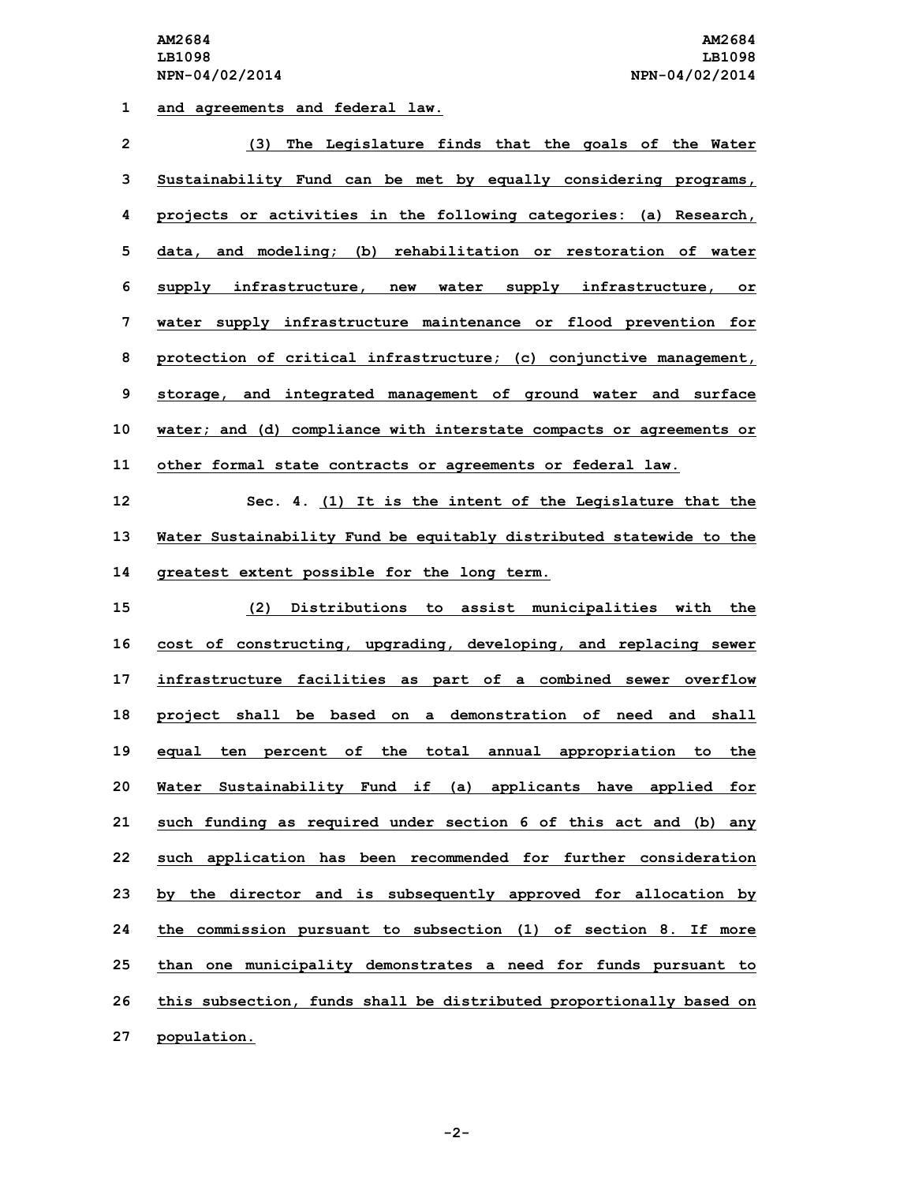**1 and agreements and federal law.**

| $\overline{\mathbf{c}}$ | (3) The Legislature finds that the goals of the Water               |
|-------------------------|---------------------------------------------------------------------|
| 3                       | Sustainability Fund can be met by equally considering programs,     |
| 4                       | projects or activities in the following categories: (a) Research,   |
| 5                       | data, and modeling; (b) rehabilitation or restoration of water      |
| 6                       | supply infrastructure, new water supply infrastructure, or          |
| 7                       | water supply infrastructure maintenance or flood prevention for     |
| 8                       | protection of critical infrastructure; (c) conjunctive management,  |
| 9                       | storage, and integrated management of ground water and surface      |
| 10                      | water; and (d) compliance with interstate compacts or agreements or |
| 11                      | other formal state contracts or agreements or federal law.          |
| 12                      | Sec. 4. (1) It is the intent of the Legislature that the            |
| 13                      | Water Sustainability Fund be equitably distributed statewide to the |
| 14                      | greatest extent possible for the long term.                         |
| 15                      | (2) Distributions to assist municipalities with the                 |
| 16                      | cost of constructing, upgrading, developing, and replacing sewer    |
| 17                      | infrastructure facilities as part of a combined sewer overflow      |
| 18                      | project shall be based on a demonstration of need and shall         |
| 19                      | equal ten percent of the total annual appropriation to the          |
| 20                      | Water Sustainability Fund if (a) applicants have applied for        |
| 21                      | such funding as required under section 6 of this act and (b) any    |
| 22                      | such application has been recommended for further consideration     |
| 23                      | by the director and is subsequently approved for allocation by      |
| 24                      | the commission pursuant to subsection (1) of section 8. If more     |
| 25                      | than one municipality demonstrates a need for funds pursuant to     |
| 26                      | this subsection, funds shall be distributed proportionally based on |
|                         |                                                                     |

**27 population.**

**-2-**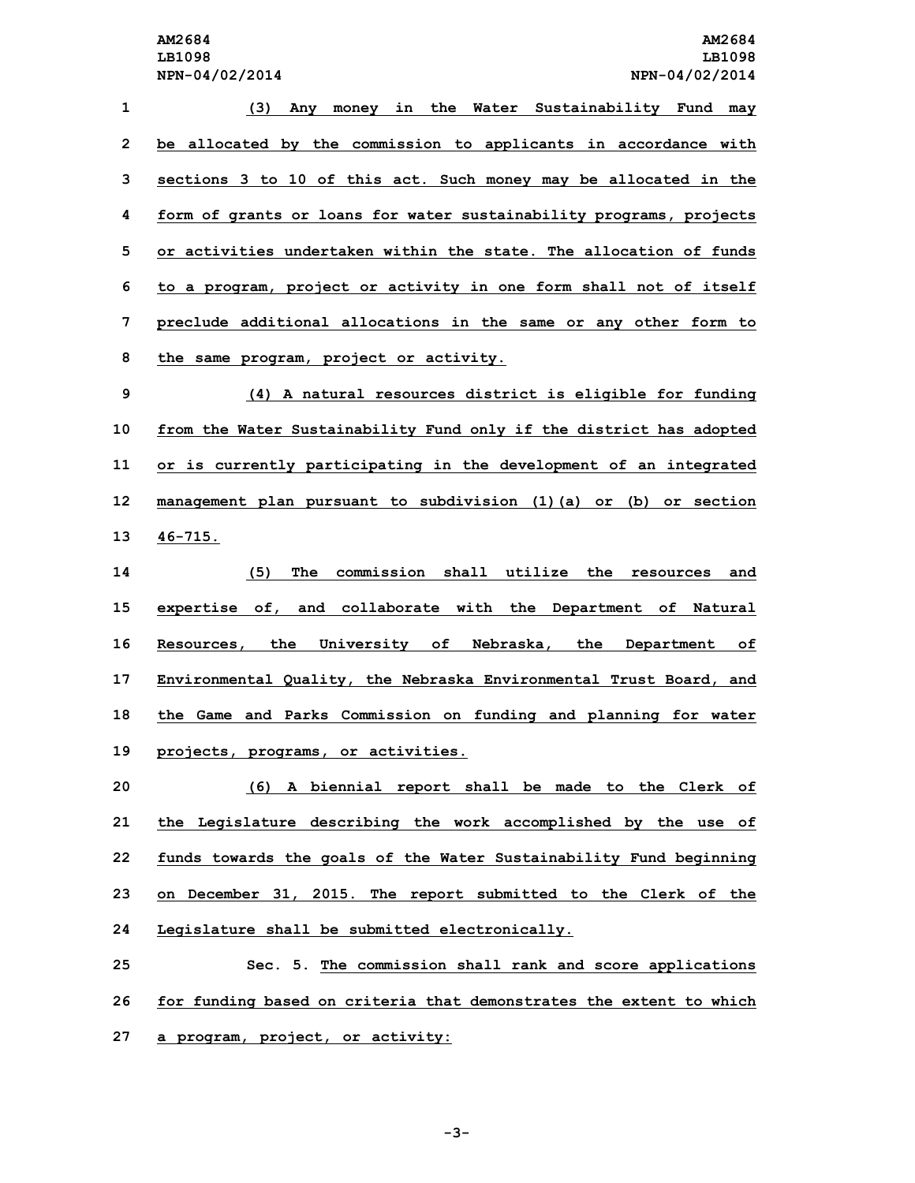**(3) Any money in the Water Sustainability Fund may be allocated by the commission to applicants in accordance with sections 3 to 10 of this act. Such money may be allocated in the form of grants or loans for water sustainability programs, projects or activities undertaken within the state. The allocation of funds to <sup>a</sup> program, project or activity in one form shall not of itself preclude additional allocations in the same or any other form to the same program, project or activity. (4) <sup>A</sup> natural resources district is eligible for funding from the Water Sustainability Fund only if the district has adopted or is currently participating in the development of an integrated management plan pursuant to subdivision (1)(a) or (b) or section 13 46-715. (5) The commission shall utilize the resources and expertise of, and collaborate with the Department of Natural Resources, the University of Nebraska, the Department of Environmental Quality, the Nebraska Environmental Trust Board, and the Game and Parks Commission on funding and planning for water projects, programs, or activities.**

 **(6) <sup>A</sup> biennial report shall be made to the Clerk of the Legislature describing the work accomplished by the use of funds towards the goals of the Water Sustainability Fund beginning on December 31, 2015. The report submitted to the Clerk of the Legislature shall be submitted electronically.**

**25 Sec. 5. The commission shall rank and score applications 26 for funding based on criteria that demonstrates the extent to which 27 <sup>a</sup> program, project, or activity:**

**-3-**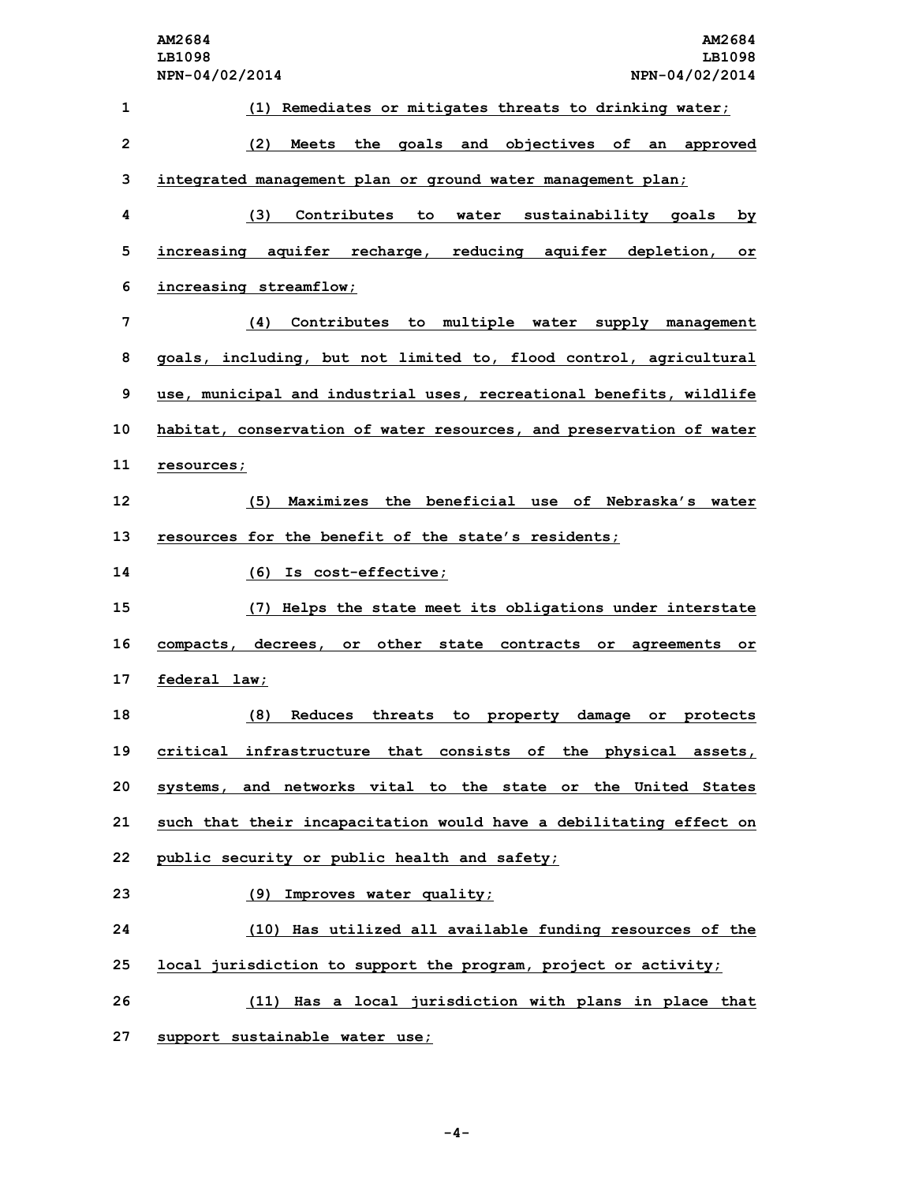|                 | AM2684<br>AM2684<br>LB1098<br>LB1098<br>NPN-04/02/2014<br>NPN-04/02/2014    |
|-----------------|-----------------------------------------------------------------------------|
| $\mathbf{1}$    | (1) Remediates or mitigates threats to drinking water;                      |
| $\overline{2}$  | the goals and objectives of an approved<br>(2)<br>Meets                     |
| 3               | integrated management plan or ground water management plan;                 |
| 4               | (3)<br>Contributes<br>to<br>water<br>sustainability goals<br>by.            |
| 5               | reducing aquifer depletion,<br>increasing aquifer recharge,<br>$\circ$ r    |
| 6               | increasing streamflow;                                                      |
| 7               | Contributes to multiple water supply management<br>(4)                      |
| 8               | goals, including, but not limited to, flood control, agricultural           |
| 9               | use, municipal and industrial uses, recreational benefits, wildlife         |
| 10              | habitat, conservation of water resources, and preservation of water         |
| 11              | resources;                                                                  |
| 12 <sup>2</sup> | (5)<br>Maximizes the beneficial use of Nebraska's water                     |
| 13              | resources for the benefit of the state's residents;                         |
| 14              | (6) Is cost-effective;                                                      |
| 15              | (7) Helps the state meet its obligations under interstate                   |
| 16              | other<br>compacts, decrees,<br>or<br>state contracts or<br>agreements<br>or |
| 17              | federal law;                                                                |
| 18              | (8)<br>Reduces threats to property damage or protects                       |
| 19              | critical infrastructure that consists of the physical assets,               |
| 20              | systems, and networks vital to the state or the United States               |
| 21              | such that their incapacitation would have a debilitating effect on          |
| 22              | public security or public health and safety;                                |
| 23              | (9) Improves water quality;                                                 |
| 24              | (10) Has utilized all available funding resources of the                    |
| 25              | local jurisdiction to support the program, project or activity;             |
| 26              | (11) Has a local jurisdiction with plans in place that                      |
| 27              | support sustainable water use;                                              |

**-4-**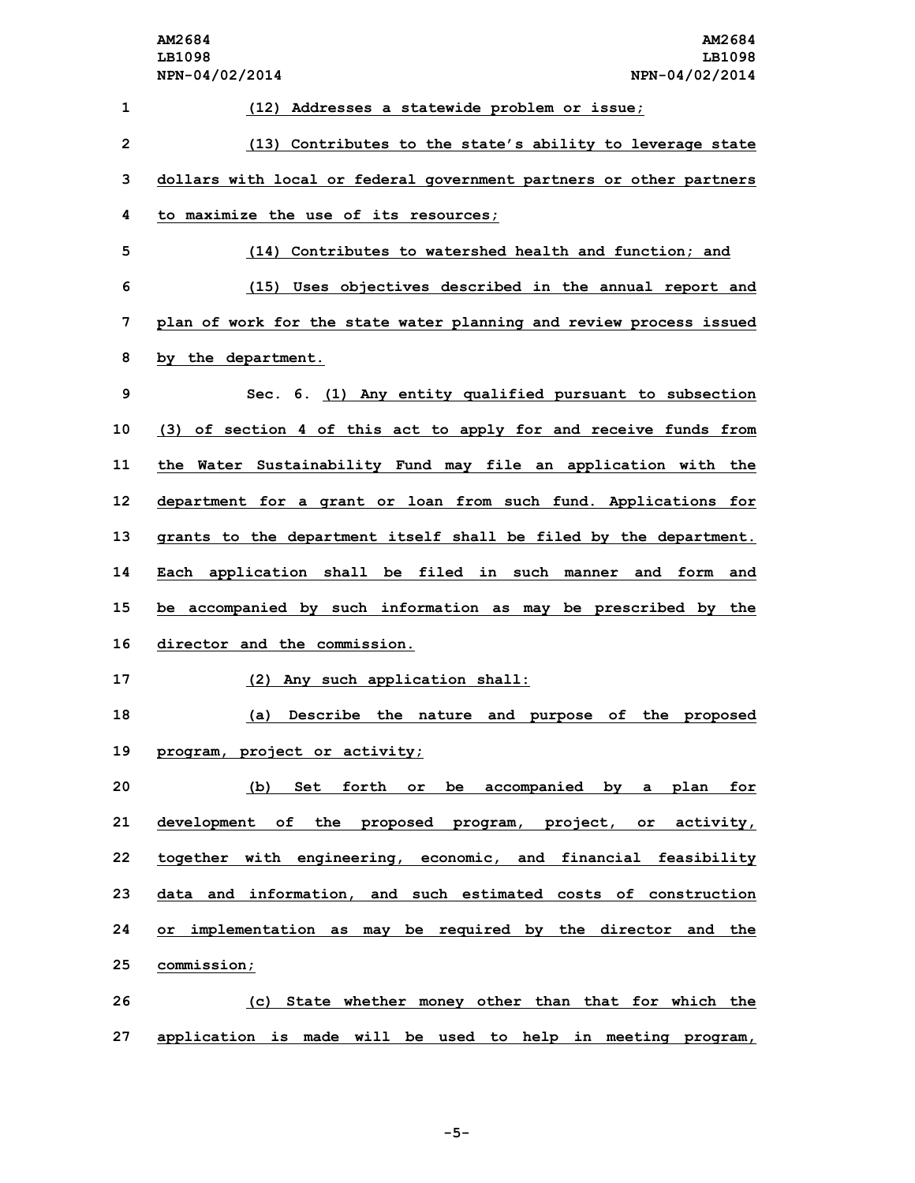|                         | AM2684<br>AM2684<br>LB1098<br>LB1098<br>NPN-04/02/2014<br>NPN-04/02/2014 |
|-------------------------|--------------------------------------------------------------------------|
| 1                       | (12) Addresses a statewide problem or issue;                             |
| $\overline{\mathbf{c}}$ | (13) Contributes to the state's ability to leverage state                |
| 3                       | dollars with local or federal government partners or other partners      |
| 4                       | to maximize the use of its resources;                                    |
| 5                       | (14) Contributes to watershed health and function; and                   |
| 6                       | (15) Uses objectives described in the annual report and                  |
| 7                       | plan of work for the state water planning and review process issued      |
| 8                       | by the department.                                                       |
| 9                       | Sec. 6. (1) Any entity qualified pursuant to subsection                  |
| 10                      | (3) of section 4 of this act to apply for and receive funds from         |
| 11                      | the Water Sustainability Fund may file an application with the           |
| 12                      | department for a grant or loan from such fund. Applications for          |
| 13                      | grants to the department itself shall be filed by the department.        |
| 14                      | Each application shall be filed in such manner and form and              |
| 15                      | be accompanied by such information as may be prescribed by the           |
| 16                      | director and the commission.                                             |
| 17                      | (2) Any such application shall:                                          |
| 18                      | (a) Describe the nature and purpose of the proposed                      |
| 19                      | program, project or activity;                                            |
| 20                      | (b) Set forth or be accompanied by a plan for                            |
| 21                      | development of the proposed program, project, or activity,               |
| 22                      | together with engineering, economic, and financial feasibility           |
| 23                      | data and information, and such estimated costs of construction           |
| 24                      | or implementation as may be required by the director and the             |
| 25                      | commission;                                                              |
| 26                      | (c) State whether money other than that for which the                    |
| 27                      | application is made will be used to help in meeting program,             |

**-5-**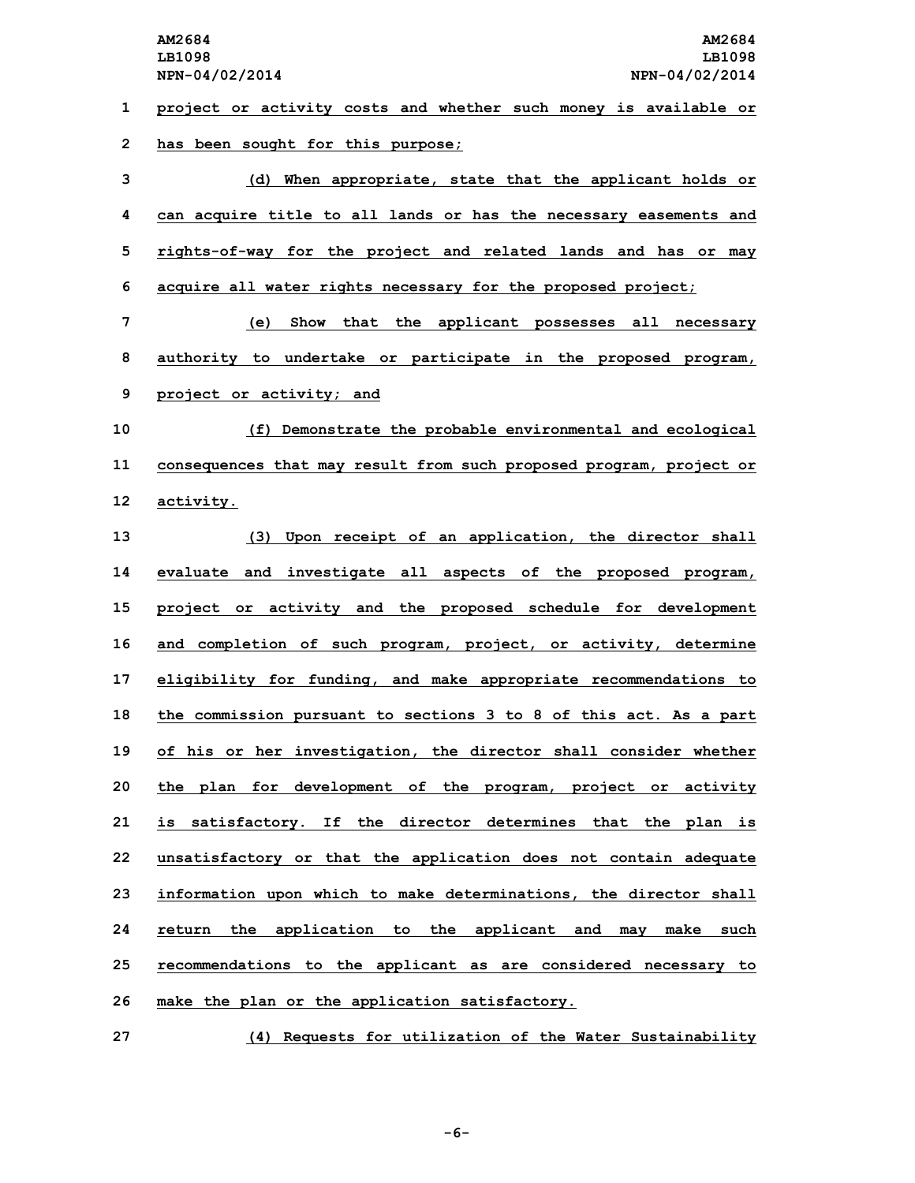**1 project or activity costs and whether such money is available or 2 has been sought for this purpose;**

 **(d) When appropriate, state that the applicant holds or can acquire title to all lands or has the necessary easements and rights-of-way for the project and related lands and has or may acquire all water rights necessary for the proposed project;**

**7 (e) Show that the applicant possesses all necessary 8 authority to undertake or participate in the proposed program, 9 project or activity; and**

**10 (f) Demonstrate the probable environmental and ecological 11 consequences that may result from such proposed program, project or 12 activity.**

 **(3) Upon receipt of an application, the director shall evaluate and investigate all aspects of the proposed program, project or activity and the proposed schedule for development and completion of such program, project, or activity, determine eligibility for funding, and make appropriate recommendations to the commission pursuant to sections 3 to 8 of this act. As <sup>a</sup> part of his or her investigation, the director shall consider whether the plan for development of the program, project or activity is satisfactory. If the director determines that the plan is unsatisfactory or that the application does not contain adequate information upon which to make determinations, the director shall return the application to the applicant and may make such recommendations to the applicant as are considered necessary to make the plan or the application satisfactory.**

**27 (4) Requests for utilization of the Water Sustainability**

**-6-**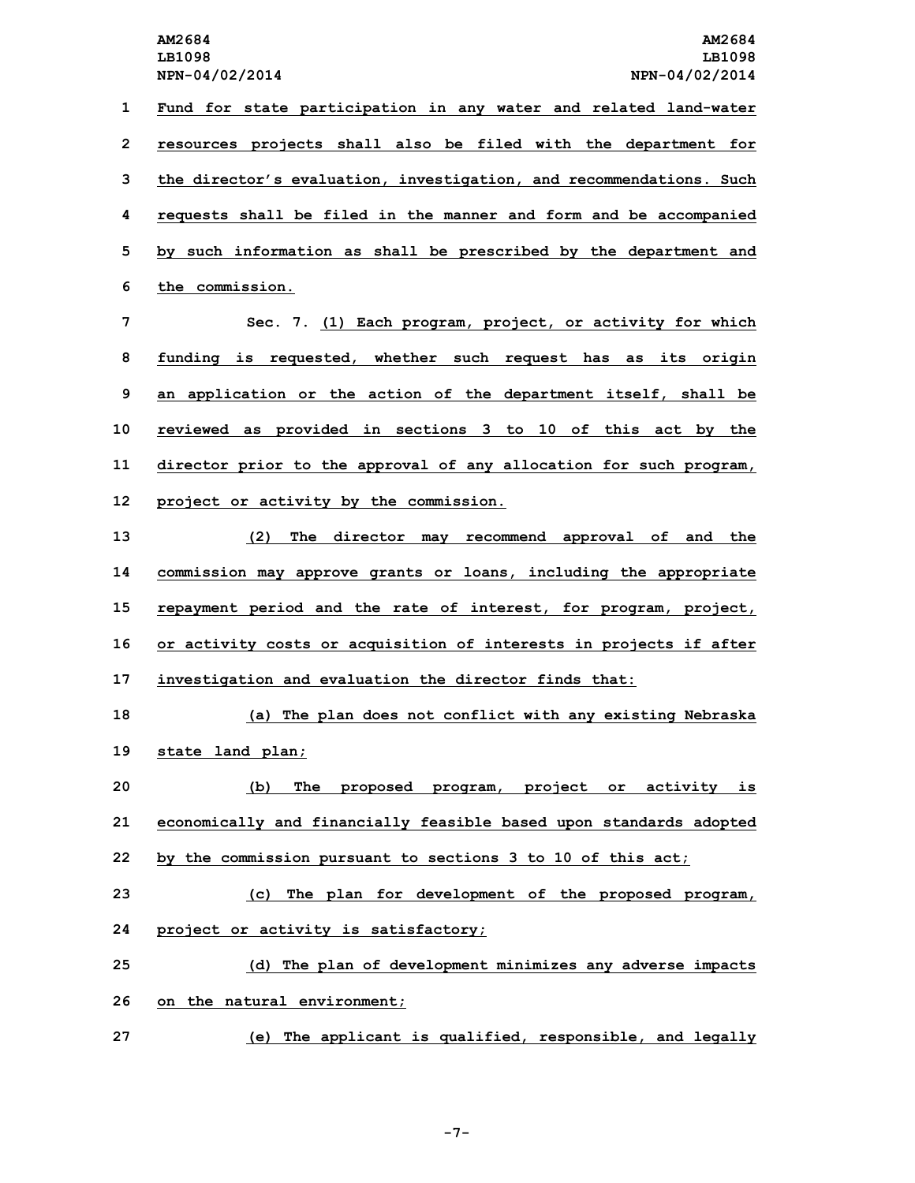**Fund for state participation in any water and related land-water resources projects shall also be filed with the department for the director's evaluation, investigation, and recommendations. Such requests shall be filed in the manner and form and be accompanied by such information as shall be prescribed by the department and the commission. Sec. 7. (1) Each program, project, or activity for which funding is requested, whether such request has as its origin an application or the action of the department itself, shall be**

**10 reviewed as provided in sections 3 to 10 of this act by the 11 director prior to the approval of any allocation for such program, 12 project or activity by the commission.**

 **(2) The director may recommend approval of and the commission may approve grants or loans, including the appropriate repayment period and the rate of interest, for program, project, or activity costs or acquisition of interests in projects if after investigation and evaluation the director finds that:**

**18 (a) The plan does not conflict with any existing Nebraska 19 state land plan;**

**20 (b) The proposed program, project or activity is 21 economically and financially feasible based upon standards adopted 22 by the commission pursuant to sections 3 to 10 of this act;**

**23 (c) The plan for development of the proposed program, 24 project or activity is satisfactory;**

**25 (d) The plan of development minimizes any adverse impacts 26 on the natural environment;**

**27 (e) The applicant is qualified, responsible, and legally**

**-7-**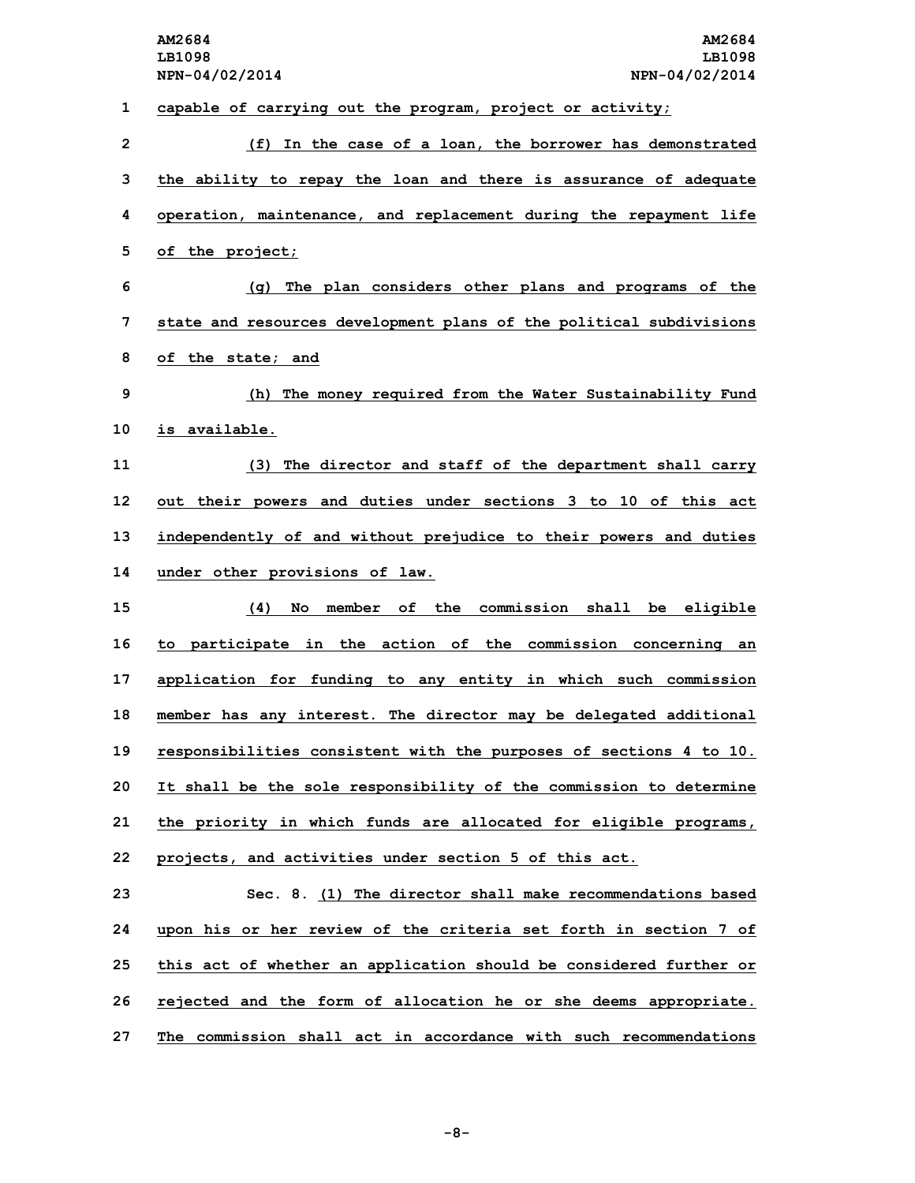**1 capable of carrying out the program, project or activity;**

 **(f) In the case of <sup>a</sup> loan, the borrower has demonstrated the ability to repay the loan and there is assurance of adequate operation, maintenance, and replacement during the repayment life of the project; (g) The plan considers other plans and programs of the state and resources development plans of the political subdivisions of the state; and (h) The money required from the Water Sustainability Fund is available. (3) The director and staff of the department shall carry out their powers and duties under sections 3 to 10 of this act independently of and without prejudice to their powers and duties under other provisions of law. (4) No member of the commission shall be eligible to participate in the action of the commission concerning an application for funding to any entity in which such commission member has any interest. The director may be delegated additional responsibilities consistent with the purposes of sections 4 to 10. It shall be the sole responsibility of the commission to determine the priority in which funds are allocated for eligible programs, projects, and activities under section 5 of this act. Sec. 8. (1) The director shall make recommendations based upon his or her review of the criteria set forth in section 7 of this act of whether an application should be considered further or rejected and the form of allocation he or she deems appropriate. The commission shall act in accordance with such recommendations**

**-8-**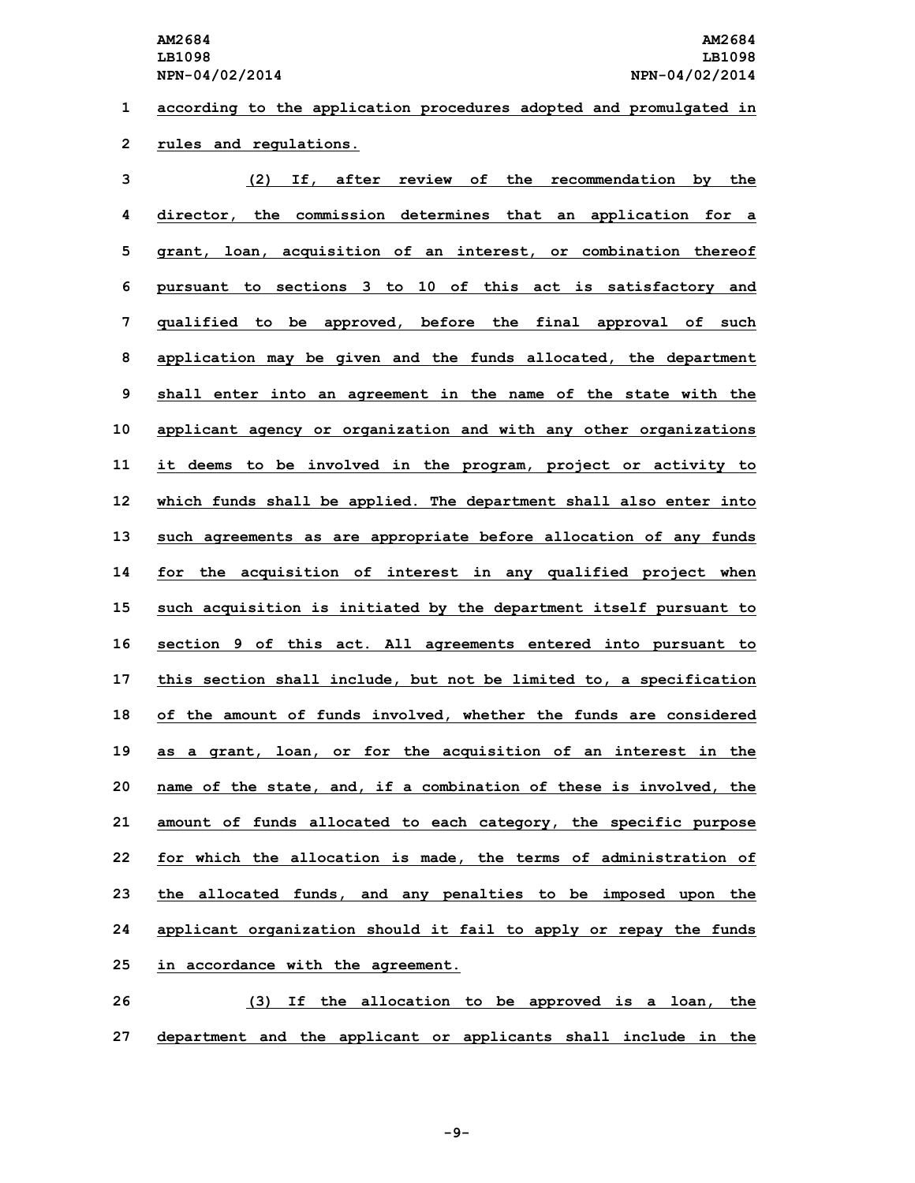**1 according to the application procedures adopted and promulgated in 2 rules and regulations.**

| 3  | (2)<br>If, after<br>review of the recommendation by the            |
|----|--------------------------------------------------------------------|
| 4  | director, the commission determines that an application for a      |
| 5  | acquisition of an interest, or combination thereof<br>arant, loan, |
| 6  | pursuant to sections 3 to 10 of this act is satisfactory and       |
| 7  | qualified to be approved, before the final approval of such        |
| 8  | application may be given and the funds allocated, the department   |
| 9  | shall enter into an agreement in the name of the state with the    |
| 10 | applicant agency or organization and with any other organizations  |
| 11 | it deems to be involved in the program, project or activity to     |
| 12 | which funds shall be applied. The department shall also enter into |
| 13 | such agreements as are appropriate before allocation of any funds  |
| 14 | for the acquisition of interest in any qualified project when      |
| 15 | such acquisition is initiated by the department itself pursuant to |
| 16 | section 9 of this act. All agreements entered into pursuant to     |
| 17 | this section shall include, but not be limited to, a specification |
| 18 | of the amount of funds involved, whether the funds are considered  |
| 19 | as a grant, loan, or for the acquisition of an interest in the     |
| 20 | name of the state, and, if a combination of these is involved, the |
| 21 | amount of funds allocated to each category, the specific purpose   |
| 22 | for which the allocation is made, the terms of administration of   |
| 23 | the allocated funds, and any penalties to be imposed upon the      |
| 24 | applicant organization should it fail to apply or repay the funds  |
| 25 | in accordance with the agreement.                                  |
| 26 | If the allocation to be approved is a loan, the<br>(3)             |

**27 department and the applicant or applicants shall include in the**

**-9-**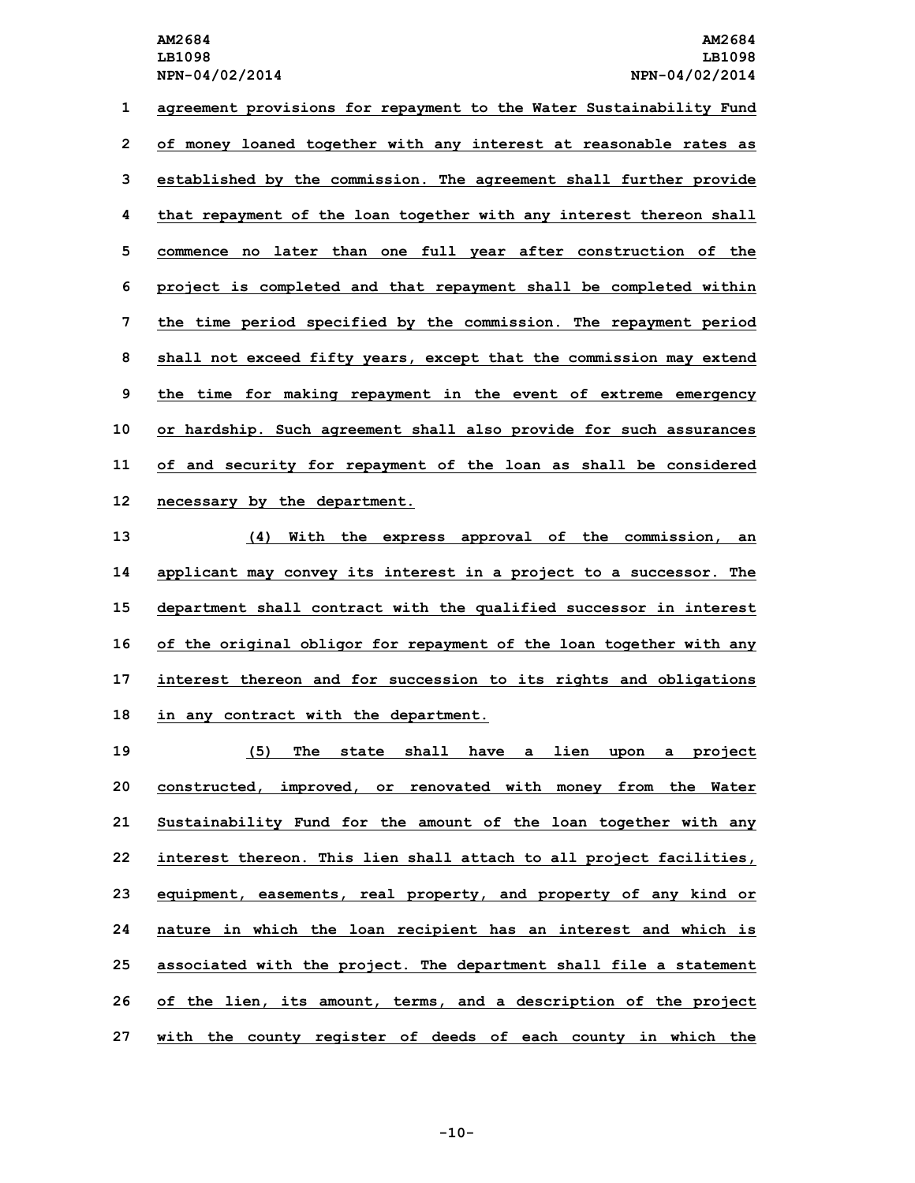**agreement provisions for repayment to the Water Sustainability Fund of money loaned together with any interest at reasonable rates as established by the commission. The agreement shall further provide that repayment of the loan together with any interest thereon shall commence no later than one full year after construction of the project is completed and that repayment shall be completed within the time period specified by the commission. The repayment period shall not exceed fifty years, except that the commission may extend the time for making repayment in the event of extreme emergency or hardship. Such agreement shall also provide for such assurances of and security for repayment of the loan as shall be considered necessary by the department.**

 **(4) With the express approval of the commission, an applicant may convey its interest in <sup>a</sup> project to <sup>a</sup> successor. The department shall contract with the qualified successor in interest of the original obligor for repayment of the loan together with any interest thereon and for succession to its rights and obligations in any contract with the department.**

 **(5) The state shall have <sup>a</sup> lien upon <sup>a</sup> project constructed, improved, or renovated with money from the Water Sustainability Fund for the amount of the loan together with any interest thereon. This lien shall attach to all project facilities, equipment, easements, real property, and property of any kind or nature in which the loan recipient has an interest and which is associated with the project. The department shall file <sup>a</sup> statement of the lien, its amount, terms, and <sup>a</sup> description of the project with the county register of deeds of each county in which the**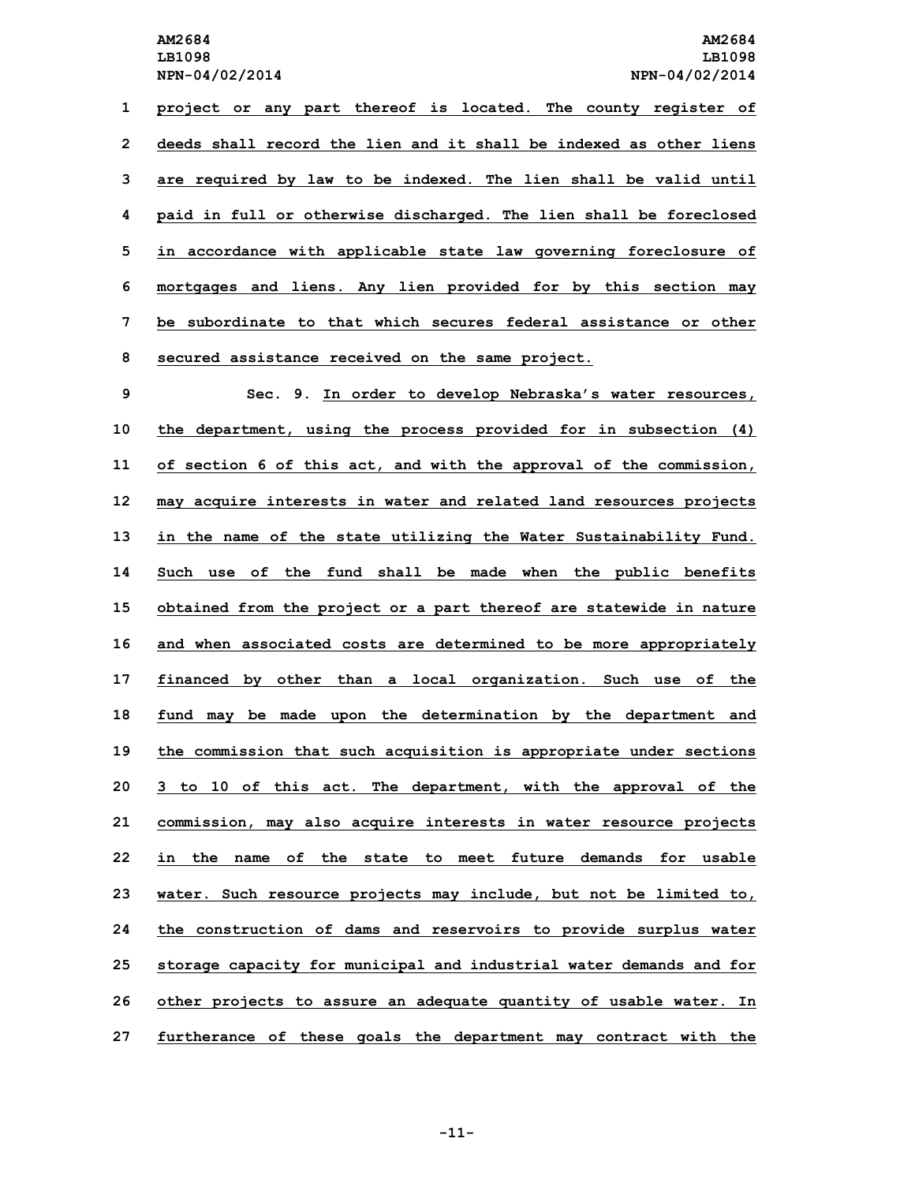**project or any part thereof is located. The county register of deeds shall record the lien and it shall be indexed as other liens are required by law to be indexed. The lien shall be valid until paid in full or otherwise discharged. The lien shall be foreclosed in accordance with applicable state law governing foreclosure of mortgages and liens. Any lien provided for by this section may be subordinate to that which secures federal assistance or other secured assistance received on the same project.**

 **Sec. 9. In order to develop Nebraska's water resources, the department, using the process provided for in subsection (4) of section 6 of this act, and with the approval of the commission, may acquire interests in water and related land resources projects in the name of the state utilizing the Water Sustainability Fund. Such use of the fund shall be made when the public benefits obtained from the project or <sup>a</sup> part thereof are statewide in nature and when associated costs are determined to be more appropriately financed by other than <sup>a</sup> local organization. Such use of the fund may be made upon the determination by the department and the commission that such acquisition is appropriate under sections 3 to 10 of this act. The department, with the approval of the commission, may also acquire interests in water resource projects in the name of the state to meet future demands for usable water. Such resource projects may include, but not be limited to, the construction of dams and reservoirs to provide surplus water storage capacity for municipal and industrial water demands and for other projects to assure an adequate quantity of usable water. In furtherance of these goals the department may contract with the**

**-11-**